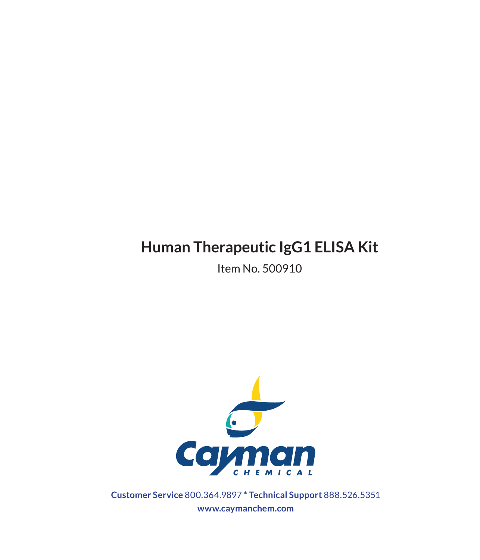# **Human Therapeutic IgG1 ELISA Kit**

Item No. 500910



**Customer Service** 800.364.9897 **\* Technical Support** 888.526.5351 **www.caymanchem.com**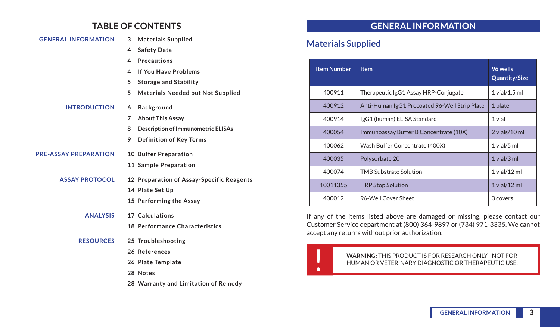## **TABLE OF CONTENTS**

| <b>GENERAL INFORMATION</b>   | 3<br><b>Materials Supplied</b>                 |
|------------------------------|------------------------------------------------|
|                              | 4<br><b>Safety Data</b>                        |
|                              | <b>Precautions</b><br>4                        |
|                              | <b>If You Have Problems</b><br>4               |
|                              | 5<br><b>Storage and Stability</b>              |
|                              | 5<br><b>Materials Needed but Not Supplied</b>  |
| <b>INTRODUCTION</b>          | <b>Background</b><br>6                         |
|                              | <b>About This Assay</b><br>7                   |
|                              | <b>Description of Immunometric ELISAs</b><br>8 |
|                              | 9<br><b>Definition of Key Terms</b>            |
| <b>PRE-ASSAY PREPARATION</b> | 10 Buffer Preparation                          |
|                              | 11 Sample Preparation                          |
| <b>ASSAY PROTOCOL</b>        | 12 Preparation of Assay-Specific Reagents      |
|                              | <b>14 Plate Set Up</b>                         |
|                              | 15 Performing the Assay                        |
| <b>ANALYSIS</b>              | 17 Calculations                                |
|                              | <b>18 Performance Characteristics</b>          |
| <b>RESOURCES</b>             | 25 Troubleshooting                             |
|                              | 26 References                                  |
|                              | 26 Plate Template                              |
|                              |                                                |

**28 Notes**

**28 Warranty and Limitation of Remedy**

# **GENERAL INFORMATION**

# **Materials Supplied**

| <b>Item Number</b> | <b>Item</b>                                   | 96 wells<br><b>Quantity/Size</b> |
|--------------------|-----------------------------------------------|----------------------------------|
| 400911             | Therapeutic IgG1 Assay HRP-Conjugate          | $1$ vial/ $1.5$ ml               |
| 400912             | Anti-Human IgG1 Precoated 96-Well Strip Plate | 1 plate                          |
| 400914             | IgG1 (human) ELISA Standard                   | 1 vial                           |
| 400054             | Immunoassay Buffer B Concentrate (10X)        | $2$ vials/10 ml                  |
| 400062             | Wash Buffer Concentrate (400X)                | $1$ vial/ $5$ ml                 |
| 400035             | Polysorbate 20                                | $1$ vial/ $3$ ml                 |
| 400074             | <b>TMB Substrate Solution</b>                 | $1$ vial/ $12$ ml                |
| 10011355           | <b>HRP Stop Solution</b>                      | $1$ vial/ $12$ ml                |
| 400012             | 96-Well Cover Sheet                           | 3 covers                         |

If any of the items listed above are damaged or missing, please contact our Customer Service department at (800) 364-9897 or (734) 971-3335. We cannot accept any returns without prior authorization.



WARNING: THIS PRODUCT IS FOR RESEARCH ONLY - NOT FOR<br>HUMAN OR VETERINARY DIAGNOSTIC OR THERAPEUTIC USE. HUMAN OR VETERINARY DIAGNOSTIC OR THERAPEUTIC USE.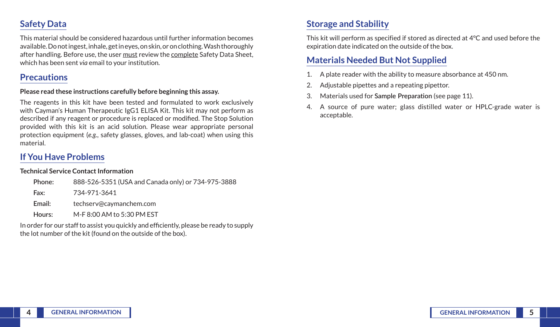# **Safety Data**

This material should be considered hazardous until further information becomes available. Do not ingest, inhale, get in eyes, on skin, or on clothing. Wash thoroughly after handling. Before use, the user must review the complete Safety Data Sheet, which has been sent *via* email to your institution.

## **Precautions**

#### **Please read these instructions carefully before beginning this assay.**

The reagents in this kit have been tested and formulated to work exclusively with Cayman's Human Therapeutic IgG1 ELISA Kit. This kit may not perform as described if any reagent or procedure is replaced or modified. The Stop Solution provided with this kit is an acid solution. Please wear appropriate personal protection equipment (*e.g.*, safety glasses, gloves, and lab-coat) when using this material.

# **If You Have Problems**

#### **Technical Service Contact Information**

| Phone: | 888-526-5351 (USA and Canada only) or 734-975-3888 |
|--------|----------------------------------------------------|
| Fax:   | 734-971-3641                                       |
| Email: | techserv@caymanchem.com                            |
| Hours: | M-F 8:00 AM to 5:30 PM EST                         |

In order for our staff to assist you quickly and efficiently, please be ready to supply the lot number of the kit (found on the outside of the box).

# **Storage and Stability**

This kit will perform as specified if stored as directed at 4°C and used before the expiration date indicated on the outside of the box.

# **Materials Needed But Not Supplied**

- 1. A plate reader with the ability to measure absorbance at 450 nm.
- 2. Adjustable pipettes and a repeating pipettor.
- 3. Materials used for **Sample Preparation** (see page 11).
- 4. A source of pure water; glass distilled water or HPLC-grade water is acceptable.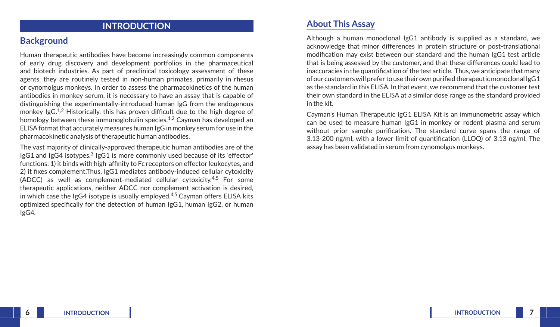## **INTRODUCTION**

## **Background**

Human therapeutic antibodies have become increasingly common components of early drug discovery and development portfolios in the pharmaceutical and biotech industries. As part of preclinical toxicology assessment of these agents, they are routinely tested in non-human primates, primarily in rhesus or cynomolgus monkeys. In order to assess the pharmacokinetics of the human antibodies in monkey serum, it is necessary to have an assay that is capable of distinguishing the experimentally-introduced human IgG from the endogenous monkey IgG.<sup>1,2</sup> Historically, this has proven difficult due to the high degree of homology between these immunoglobulin species.<sup>1,2</sup> Cayman has developed an ELISA format that accurately measures human IgG in monkey serum for use in the pharmacokinetic analysis of therapeutic human antibodies.

The vast majority of clinically-approved therapeutic human antibodies are of the IgG1 and IgG4 isotypes.3 IgG1 is more commonly used because of its 'effector' functions: 1) it binds with high-affinity to Fc receptors on effector leukocytes, and 2) it fixes complement.Thus, IgG1 mediates antibody-induced cellular cytoxicity (ADCC) as well as complement-mediated cellular cytoxicity.4,5 For some therapeutic applications, neither ADCC nor complement activation is desired, in which case the IgG4 isotype is usually employed.<sup>4,5</sup> Cayman offers ELISA kits optimized specifically for the detection of human IgG1, human IgG2, or human IgG4.

## **About This Assay**

Although a human monoclonal IgG1 antibody is supplied as a standard, we acknowledge that minor differences in protein structure or post-translational modification may exist between our standard and the human IgG1 test article that is being assessed by the customer, and that these differences could lead to inaccuracies in the quantification of the test article. Thus, we anticipate that many of our customers will prefer to use their own purified therapeutic monoclonal IgG1 as the standard in this ELISA. In that event, we recommend that the customer test their own standard in the ELISA at a similar dose range as the standard provided in the kit.

Cayman's Human Therapeutic IgG1 ELISA Kit is an immunometric assay which can be used to measure human IgG1 in monkey or rodent plasma and serum without prior sample purification. The standard curve spans the range of 3.13-200 ng/ml, with a lower limit of quantification (LLOQ) of 3.13 ng/ml. The assay has been validated in serum from cynomolgus monkeys.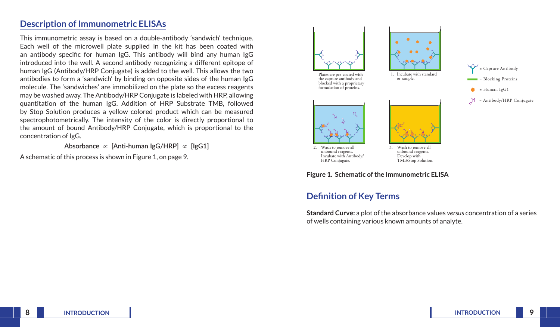## **Description of Immunometric ELISAs**

This immunometric assay is based on a double-antibody 'sandwich' technique. Each well of the microwell plate supplied in the kit has been coated with an antibody specific for human IgG. This antibody will bind any human IgG introduced into the well. A second antibody recognizing a different epitope of human IgG (Antibody/HRP Conjugate) is added to the well. This allows the two antibodies to form a 'sandwich' by binding on opposite sides of the human IgG molecule. The 'sandwiches' are immobilized on the plate so the excess reagents may be washed away. The Antibody/HRP Conjugate is labeled with HRP, allowing quantitation of the human IgG. Addition of HRP Substrate TMB, followed by Stop Solution produces a yellow colored product which can be measured spectrophotometrically. The intensity of the color is directly proportional to the amount of bound Antibody/HRP Conjugate, which is proportional to the concentration of IgG.

**Absorbance** ∝ **[Anti-human IgG/HRP]** ∝ **[IgG1]**

A schematic of this process is shown in Figure 1, on page 9.





## **Definition of Key Terms**

**Standard Curve:** a plot of the absorbance values *versus* concentration of a series of wells containing various known amounts of analyte.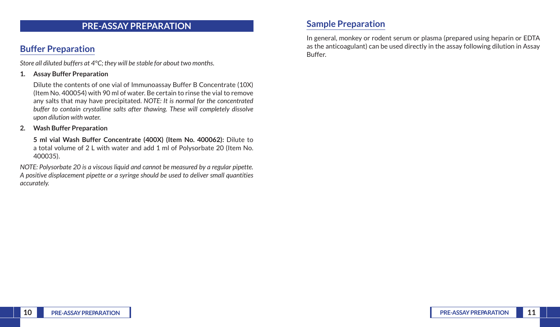## **PRE-ASSAY PREPARATION**

# **Buffer Preparation**

*Store all diluted buffers at 4°C; they will be stable for about two months.*

#### **1. Assay Buffer Preparation**

Dilute the contents of one vial of Immunoassay Buffer B Concentrate (10X) (Item No. 400054) with 90 ml of water. Be certain to rinse the vial to remove any salts that may have precipitated. *NOTE: It is normal for the concentrated buffer to contain crystalline salts after thawing. These will completely dissolve upon dilution with water.*

#### **2. Wash Buffer Preparation**

**5 ml vial Wash Buffer Concentrate (400X) (Item No. 400062):** Dilute to a total volume of 2 L with water and add 1 ml of Polysorbate 20 (Item No. 400035).

*NOTE: Polysorbate 20 is a viscous liquid and cannot be measured by a regular pipette. A positive displacement pipette or a syringe should be used to deliver small quantities accurately.* 

## **Sample Preparation**

In general, monkey or rodent serum or plasma (prepared using heparin or EDTA as the anticoagulant) can be used directly in the assay following dilution in Assay Buffer.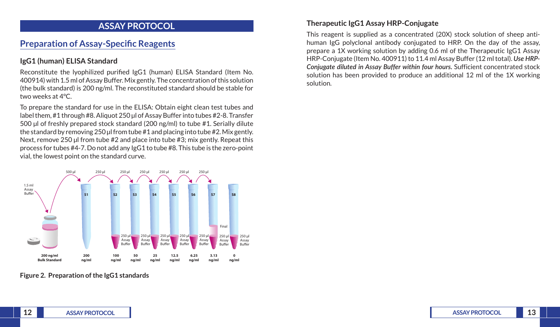## **ASSAY PROTOCOL**

# **Preparation of Assay-Specific Reagents**

#### **IgG1 (human) ELISA Standard**

Reconstitute the lyophilized purified IgG1 (human) ELISA Standard (Item No. 400914) with 1.5 ml of Assay Buffer. Mix gently. The concentration of this solution (the bulk standard) is 200 ng/ml. The reconstituted standard should be stable for two weeks at 4°C.

To prepare the standard for use in the ELISA: Obtain eight clean test tubes and label them, #1 through #8. Aliquot 250 μl of Assay Buffer into tubes #2-8. Transfer 500 µl of freshly prepared stock standard (200 ng/ml) to tube #1. Serially dilute the standard by removing 250 μl from tube #1 and placing into tube #2. Mix gently. Next, remove 250 μl from tube #2 and place into tube #3; mix gently. Repeat this process for tubes #4-7. Do not add any IgG1 to tube #8. This tube is the zero-point vial, the lowest point on the standard curve.



**Figure 2. Preparation of the IgG1 standards**

#### **Therapeutic IgG1 Assay HRP-Conjugate**

This reagent is supplied as a concentrated (20X) stock solution of sheep antihuman IgG polyclonal antibody conjugated to HRP. On the day of the assay, prepare a 1X working solution by adding 0.6 ml of the Therapeutic IgG1 Assay HRP-Conjugate (Item No. 400911) to 11.4 ml Assay Buffer (12 ml total). *Use HRP-Conjugate diluted in Assay Buffer within four hours.* Sufficient concentrated stock solution has been provided to produce an additional 12 ml of the 1X working solution.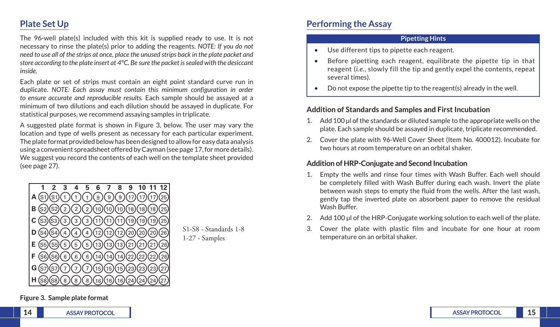# **Plate Set Up**

The 96-well plate(s) included with this kit is supplied ready to use. It is not necessary to rinse the plate(s) prior to adding the reagents. *NOTE: If you do not need to use all of the strips at once, place the unused strips back in the plate packet and store according to the plate insert at 4°C. Be sure the packet is sealed with the desiccant inside.* 

Each plate or set of strips must contain an eight point standard curve run in duplicate. *NOTE: Each assay must contain this minimum configuration in order to ensure accurate and reproducible results.* Each sample should be assayed at a minimum of two dilutions and each dilution should be assayed in duplicate. For statistical purposes, we recommend assaying samples in triplicate.

A suggested plate format is shown in Figure 3, below. The user may vary the location and type of wells present as necessary for each particular experiment. The plate format provided below has been designed to allow for easy data analysis using a convenient spreadsheet offered by Cayman (see page 17, for more details). We suggest you record the contents of each well on the template sheet provided (see page 27).



S1-S8 - Standards 1-8 1-27 - Samples

# **Performing the Assay**

#### **Pipetting Hints**

- Use different tips to pipette each reagent.
- Before pipetting each reagent, equilibrate the pipette tip in that reagent (*i.e.*, slowly fill the tip and gently expel the contents, repeat several times).
- Do not expose the pipette tip to the reagent(s) already in the well.

#### **Addition of Standards and Samples and First Incubation**

- 1. Add 100 μl of the standards or diluted sample to the appropriate wells on the plate. Each sample should be assayed in duplicate, triplicate recommended.
- 2. Cover the plate with 96-Well Cover Sheet (Item No. 400012). Incubate for two hours at room temperature on an orbital shaker.

### **Addition of HRP-Conjugate and Second Incubation**

- 1. Empty the wells and rinse four times with Wash Buffer. Each well should be completely filled with Wash Buffer during each wash. Invert the plate between wash steps to empty the fluid from the wells. After the last wash, gently tap the inverted plate on absorbent paper to remove the residual Wash Buffer.
- 2. Add 100 μl of the HRP-Conjugate working solution to each well of the plate.
- 3. Cover the plate with plastic film and incubate for one hour at room temperature on an orbital shaker.

**Figure 3. Sample plate format**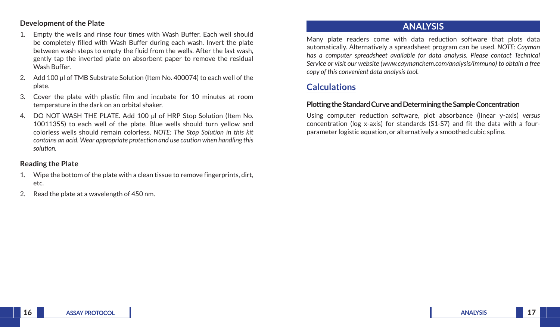#### **Development of the Plate**

- 1. Empty the wells and rinse four times with Wash Buffer. Each well should be completely filled with Wash Buffer during each wash. Invert the plate between wash steps to empty the fluid from the wells. After the last wash, gently tap the inverted plate on absorbent paper to remove the residual Wash Buffer.
- 2. Add 100 μl of TMB Substrate Solution (Item No. 400074) to each well of the plate.
- 3. Cover the plate with plastic film and incubate for 10 minutes at room temperature in the dark on an orbital shaker.
- 4. DO NOT WASH THE PLATE. Add 100 μl of HRP Stop Solution (Item No. 10011355) to each well of the plate. Blue wells should turn yellow and colorless wells should remain colorless. *NOTE: The Stop Solution in this kit contains an acid. Wear appropriate protection and use caution when handling this solution.*

### **Reading the Plate**

- 1. Wipe the bottom of the plate with a clean tissue to remove fingerprints, dirt, etc.
- 2. Read the plate at a wavelength of 450 nm.

## **ANALYSIS**

Many plate readers come with data reduction software that plots data automatically. Alternatively a spreadsheet program can be used. *NOTE: Cayman has a computer spreadsheet available for data analysis. Please contact Technical Service or visit our website (www.caymanchem.com/analysis/immuno) to obtain a free copy of this convenient data analysis tool.* 

# **Calculations**

#### **Plotting the Standard Curve and Determining the Sample Concentration**

Using computer reduction software, plot absorbance (linear y-axis) *versus* concentration (log x-axis) for standards (S1-S7) and fit the data with a fourparameter logistic equation, or alternatively a smoothed cubic spline.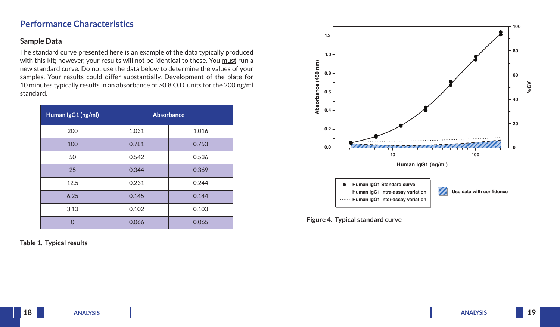# **Performance Characteristics**

#### **Sample Data**

The standard curve presented here is an example of the data typically produced with this kit; however, your results will not be identical to these. You **must** run a new standard curve. Do not use the data below to determine the values of your samples. Your results could differ substantially. Development of the plate for 10 minutes typically results in an absorbance of >0.8 O.D. units for the 200 ng/ml standard.

| Human IgG1 (ng/ml) | Absorbance |       |
|--------------------|------------|-------|
| 200                | 1.031      | 1.016 |
| 100                | 0.781      | 0.753 |
| 50                 | 0.542      | 0.536 |
| 25                 | 0.344      | 0.369 |
| 12.5               | 0.231      | 0.244 |
| 6.25               | 0.145      | 0.144 |
| 3.13               | 0.102      | 0.103 |
| ∩                  | 0.066      | 0.065 |

**Table 1. Typical results**



**Figure 4. Typical standard curve**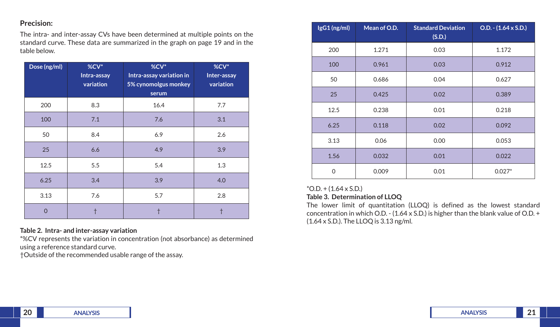### **Precision:**

The intra- and inter-assay CVs have been determined at multiple points on the standard curve. These data are summarized in the graph on page 19 and in the table below.

| Dose (ng/ml) | %CV*<br>Intra-assay<br>variation | %CV*<br>Intra-assay variation in<br>5% cynomolgus monkey<br>serum | %CV*<br>Inter-assay<br>variation |
|--------------|----------------------------------|-------------------------------------------------------------------|----------------------------------|
| 200          | 8.3                              | 16.4                                                              | 7.7                              |
| 100          | 7.1                              | 7.6                                                               | 3.1                              |
| 50           | 8.4                              | 6.9                                                               | 2.6                              |
| 25           | 6.6                              | 4.9                                                               | 3.9                              |
| 12.5         | 5.5                              | 5.4                                                               | 1.3                              |
| 6.25         | 3.4                              | 3.9                                                               | 4.0                              |
| 3.13         | 7.6                              | 5.7                                                               | 2.8                              |
| $\Omega$     |                                  |                                                                   |                                  |

#### **Table 2. Intra- and inter-assay variation**

\*%CV represents the variation in concentration (not absorbance) as determined using a reference standard curve.

†Outside of the recommended usable range of the assay.

| IgG1 (ng/ml) | Mean of O.D. | <b>Standard Deviation</b><br>(S.D.) | $O.D. - (1.64 \times S.D.)$ |
|--------------|--------------|-------------------------------------|-----------------------------|
| 200          | 1.271        | 0.03                                | 1.172                       |
| 100          | 0.961        | 0.03                                | 0.912                       |
| 50           | 0.686        | 0.04                                | 0.627                       |
| 25           | 0.425        | 0.02                                | 0.389                       |
| 12.5         | 0.238        | 0.01                                | 0.218                       |
| 6.25         | 0.118        | 0.02                                | 0.092                       |
| 3.13         | 0.06         | 0.00                                | 0.053                       |
| 1.56         | 0.032        | 0.01                                | 0.022                       |
| $\mathbf 0$  | 0.009        | 0.01                                | $0.027*$                    |

## $*$ O.D. + (1.64 x S.D.)

## **Table 3. Determination of LLOQ**

The lower limit of quantitation (LLOQ) is defined as the lowest standard concentration in which O.D. - (1.64 x S.D.) is higher than the blank value of O.D. + (1.64 x S.D.). The LLOQ is 3.13 ng/ml.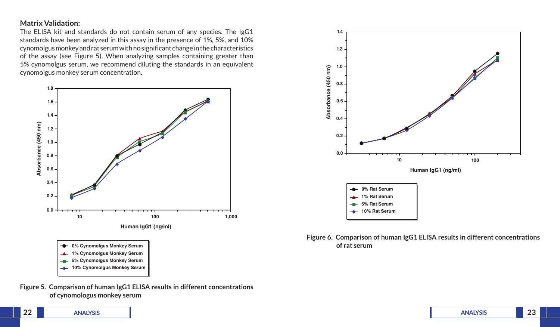#### **Matrix Validation:**

The ELISA kit and standards do not contain serum of any species. The IgG1 standards have been analyzed in this assay in the presence of 1%, 5%, and 10% cynomolgus monkey and rat serum with no significant change in the characteristics of the assay (see Figure 5). When analyzing samples containing greater than 5% cynomolgus serum, we recommend diluting the standards in an equivalent cynomolgus monkey serum concentration.











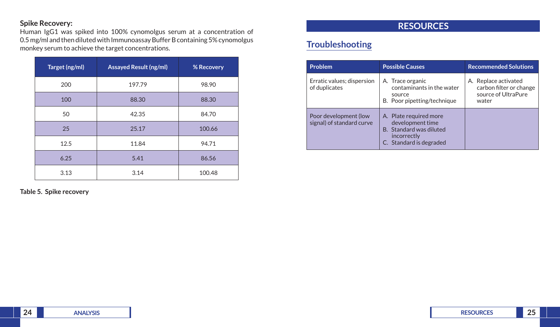### **Spike Recovery:**

Human IgG1 was spiked into 100% cynomolgus serum at a concentration of 0.5 mg/ml and then diluted with Immunoassay Buffer B containing 5% cynomolgus monkey serum to achieve the target concentrations.

| Target (ng/ml) | <b>Assayed Result (ng/ml)</b> | % Recovery |
|----------------|-------------------------------|------------|
| 200            | 197.79                        | 98.90      |
| 100            | 88.30                         | 88.30      |
| 50             | 42.35                         | 84.70      |
| 25             | 25.17                         | 100.66     |
| 12.5           | 11.84                         | 94.71      |
| 6.25           | 5.41                          | 86.56      |
| 3.13           | 3.14                          | 100.48     |

**Table 5. Spike recovery**

## **RESOURCES**

# **Troubleshooting**

| <b>Problem</b>                                     | <b>Possible Causes</b>                                                                                          | <b>Recommended Solutions</b>                                                    |
|----------------------------------------------------|-----------------------------------------------------------------------------------------------------------------|---------------------------------------------------------------------------------|
| Erratic values; dispersion<br>of duplicates        | A. Trace organic<br>contaminants in the water<br>source<br>B. Poor pipetting/technique                          | A. Replace activated<br>carbon filter or change<br>source of UltraPure<br>water |
| Poor development (low<br>signal) of standard curve | A. Plate required more<br>development time<br>B. Standard was diluted<br>incorrectly<br>C. Standard is degraded |                                                                                 |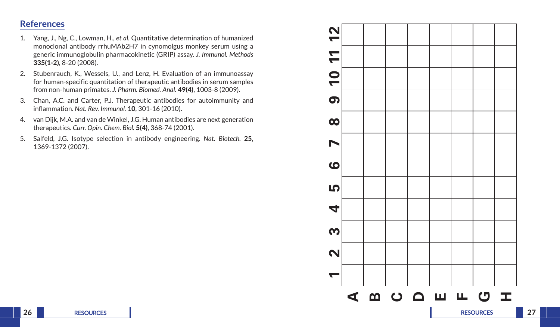## **References**

- 1. Yang, J., Ng, C., Lowman, H., *et al.* Quantitative determination of humanized monoclonal antibody rrhuMAb2H7 in cynomolgus monkey serum using a generic immunoglobulin pharmacokinetic (GRIP) assay. *J. Immunol. Methods* **335(1-2)**, 8-20 (2008).
- 2. Stubenrauch, K., Wessels, U., and Lenz, H. Evaluation of an immunoassay for human-specific quantitation of therapeutic antibodies in serum samples from non-human primates. *J. Pharm. Biomed. Anal.* **49(4)**, 1003-8 (2009).
- 3. Chan, A.C. and Carter, P.J. Therapeutic antibodies for autoimmunity and inflammation. *Nat. Rev. Immunol.* **10**, 301-16 (2010).
- 4. van Dijk, M.A. and van de Winkel, J.G. Human antibodies are next generation therapeutics. *Curr. Opin. Chem. Biol.* **5(4)**, 368-74 (2001).
- 5. Salfeld, J.G. Isotype selection in antibody engineering. *Nat. Biotech.* **25**, 1369-1372 (2007).